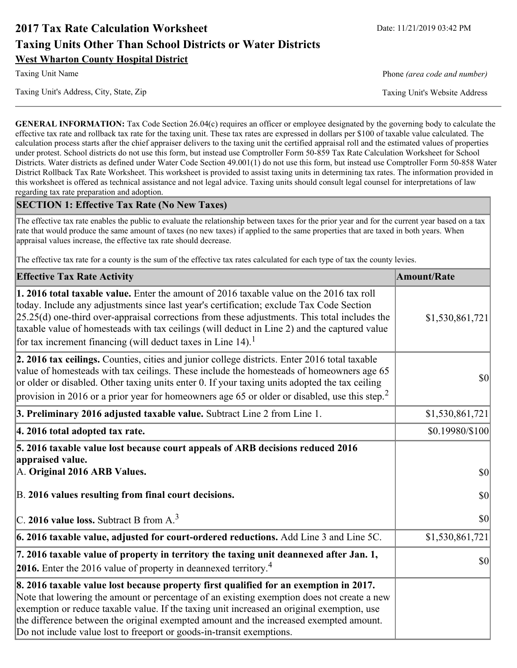# **2017 Tax Rate Calculation Worksheet** Date: 11/21/2019 03:42 PM **Taxing Units Other Than School Districts or Water Districts West Wharton County Hospital District**

Taxing Unit's Address, City, State, Zip Taxing Unit's Website Address

Taxing Unit Name **Phone** *(area code and number)* Phone *(area code and number)* 

**GENERAL INFORMATION:** Tax Code Section 26.04(c) requires an officer or employee designated by the governing body to calculate the effective tax rate and rollback tax rate for the taxing unit. These tax rates are expressed in dollars per \$100 of taxable value calculated. The calculation process starts after the chief appraiser delivers to the taxing unit the certified appraisal roll and the estimated values of properties under protest. School districts do not use this form, but instead use Comptroller Form 50-859 Tax Rate Calculation Worksheet for School Districts. Water districts as defined under Water Code Section 49.001(1) do not use this form, but instead use Comptroller Form 50-858 Water District Rollback Tax Rate Worksheet. This worksheet is provided to assist taxing units in determining tax rates. The information provided in this worksheet is offered as technical assistance and not legal advice. Taxing units should consult legal counsel for interpretations of law regarding tax rate preparation and adoption.

### **SECTION 1: Effective Tax Rate (No New Taxes)**

The effective tax rate enables the public to evaluate the relationship between taxes for the prior year and for the current year based on a tax rate that would produce the same amount of taxes (no new taxes) if applied to the same properties that are taxed in both years. When appraisal values increase, the effective tax rate should decrease.

The effective tax rate for a county is the sum of the effective tax rates calculated for each type of tax the county levies.

| <b>Effective Tax Rate Activity</b>                                                                                                                                                                                                                                                                                                                                                                                                                                      | <b>Amount/Rate</b> |
|-------------------------------------------------------------------------------------------------------------------------------------------------------------------------------------------------------------------------------------------------------------------------------------------------------------------------------------------------------------------------------------------------------------------------------------------------------------------------|--------------------|
| 1. 2016 total taxable value. Enter the amount of 2016 taxable value on the 2016 tax roll<br>today. Include any adjustments since last year's certification; exclude Tax Code Section<br>$[25.25(d)$ one-third over-appraisal corrections from these adjustments. This total includes the<br>taxable value of homesteads with tax ceilings (will deduct in Line 2) and the captured value<br>for tax increment financing (will deduct taxes in Line $14$ ). <sup>1</sup> | \$1,530,861,721    |
| 2. 2016 tax ceilings. Counties, cities and junior college districts. Enter 2016 total taxable<br>value of homesteads with tax ceilings. These include the homesteads of homeowners age 65<br>or older or disabled. Other taxing units enter 0. If your taxing units adopted the tax ceiling<br>provision in 2016 or a prior year for homeowners age 65 or older or disabled, use this step. <sup>2</sup>                                                                | 30                 |
| 3. Preliminary 2016 adjusted taxable value. Subtract Line 2 from Line 1.                                                                                                                                                                                                                                                                                                                                                                                                | \$1,530,861,721    |
| 4. 2016 total adopted tax rate.                                                                                                                                                                                                                                                                                                                                                                                                                                         | \$0.19980/\$100    |
| 5. 2016 taxable value lost because court appeals of ARB decisions reduced 2016<br>appraised value.<br>A. Original 2016 ARB Values.                                                                                                                                                                                                                                                                                                                                      | $ 10\rangle$       |
| B. 2016 values resulting from final court decisions.                                                                                                                                                                                                                                                                                                                                                                                                                    | 30                 |
| C. 2016 value loss. Subtract B from $A3$                                                                                                                                                                                                                                                                                                                                                                                                                                | 30                 |
| 6. 2016 taxable value, adjusted for court-ordered reductions. Add Line 3 and Line 5C.                                                                                                                                                                                                                                                                                                                                                                                   | \$1,530,861,721    |
| 7. 2016 taxable value of property in territory the taxing unit deannexed after Jan. 1,<br><b>2016.</b> Enter the 2016 value of property in deannexed territory. <sup>4</sup>                                                                                                                                                                                                                                                                                            | $ 10\rangle$       |
| 8. 2016 taxable value lost because property first qualified for an exemption in 2017.<br>Note that lowering the amount or percentage of an existing exemption does not create a new<br>exemption or reduce taxable value. If the taxing unit increased an original exemption, use<br>the difference between the original exempted amount and the increased exempted amount.<br>Do not include value lost to freeport or goods-in-transit exemptions.                    |                    |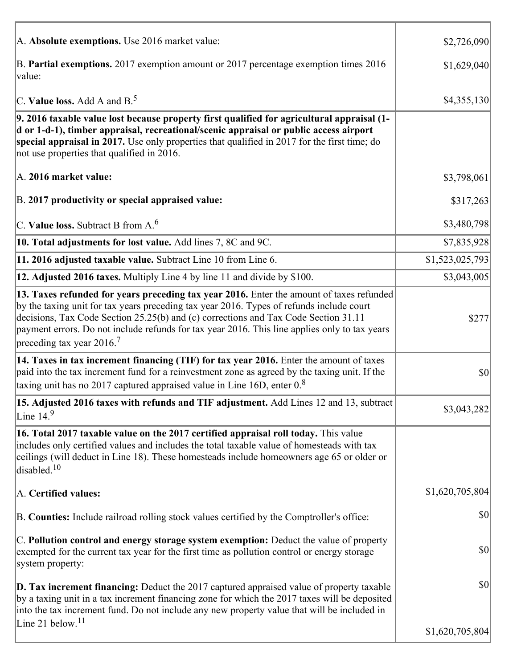| A. Absolute exemptions. Use 2016 market value:                                                                                                                                                                                                                                                                                                                                                                         | \$2,726,090     |
|------------------------------------------------------------------------------------------------------------------------------------------------------------------------------------------------------------------------------------------------------------------------------------------------------------------------------------------------------------------------------------------------------------------------|-----------------|
| B. Partial exemptions. 2017 exemption amount or 2017 percentage exemption times 2016<br>value:                                                                                                                                                                                                                                                                                                                         | \$1,629,040     |
| C. Value loss. Add A and $B^5$ .                                                                                                                                                                                                                                                                                                                                                                                       | \$4,355,130     |
| 9. 2016 taxable value lost because property first qualified for agricultural appraisal (1-<br>d or 1-d-1), timber appraisal, recreational/scenic appraisal or public access airport<br>special appraisal in 2017. Use only properties that qualified in 2017 for the first time; do<br>not use properties that qualified in 2016.                                                                                      |                 |
| A. 2016 market value:                                                                                                                                                                                                                                                                                                                                                                                                  | \$3,798,061     |
| B. 2017 productivity or special appraised value:                                                                                                                                                                                                                                                                                                                                                                       | \$317,263       |
| C. Value loss. Subtract B from $A6$                                                                                                                                                                                                                                                                                                                                                                                    | \$3,480,798     |
| 10. Total adjustments for lost value. Add lines 7, 8C and 9C.                                                                                                                                                                                                                                                                                                                                                          | \$7,835,928     |
| 11. 2016 adjusted taxable value. Subtract Line 10 from Line 6.                                                                                                                                                                                                                                                                                                                                                         | \$1,523,025,793 |
| 12. Adjusted 2016 taxes. Multiply Line 4 by line 11 and divide by \$100.                                                                                                                                                                                                                                                                                                                                               | \$3,043,005     |
| 13. Taxes refunded for years preceding tax year 2016. Enter the amount of taxes refunded<br>by the taxing unit for tax years preceding tax year 2016. Types of refunds include court<br>decisions, Tax Code Section 25.25(b) and (c) corrections and Tax Code Section 31.11<br>payment errors. Do not include refunds for tax year 2016. This line applies only to tax years<br>preceding tax year $2016$ <sup>7</sup> | \$277           |
| 14. Taxes in tax increment financing (TIF) for tax year 2016. Enter the amount of taxes<br>paid into the tax increment fund for a reinvestment zone as agreed by the taxing unit. If the<br>taxing unit has no 2017 captured appraised value in Line 16D, enter $0.8$                                                                                                                                                  | \$0             |
| 15. Adjusted 2016 taxes with refunds and TIF adjustment. Add Lines 12 and 13, subtract<br>Line $149$                                                                                                                                                                                                                                                                                                                   | \$3,043,282     |
| 16. Total 2017 taxable value on the 2017 certified appraisal roll today. This value<br>includes only certified values and includes the total taxable value of homesteads with tax<br>ceilings (will deduct in Line 18). These homesteads include homeowners age 65 or older or<br>disabled. $10$                                                                                                                       |                 |
| A. Certified values:                                                                                                                                                                                                                                                                                                                                                                                                   | \$1,620,705,804 |
| B. Counties: Include railroad rolling stock values certified by the Comptroller's office:                                                                                                                                                                                                                                                                                                                              | \$0             |
| C. Pollution control and energy storage system exemption: Deduct the value of property<br>exempted for the current tax year for the first time as pollution control or energy storage<br>system property:                                                                                                                                                                                                              | \$0             |
| <b>D. Tax increment financing:</b> Deduct the 2017 captured appraised value of property taxable<br>by a taxing unit in a tax increment financing zone for which the 2017 taxes will be deposited<br>into the tax increment fund. Do not include any new property value that will be included in                                                                                                                        | \$0             |
| Line 21 below. <sup>11</sup>                                                                                                                                                                                                                                                                                                                                                                                           | \$1,620,705,804 |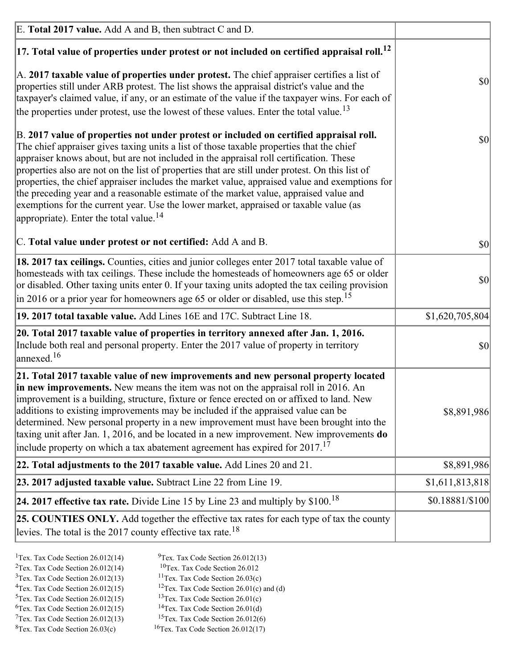| E. Total 2017 value. Add A and B, then subtract C and D.                                                                                                                                                                                                                                                                                                                                                                                                                                                                                                                                                                                                                                                                 |                 |
|--------------------------------------------------------------------------------------------------------------------------------------------------------------------------------------------------------------------------------------------------------------------------------------------------------------------------------------------------------------------------------------------------------------------------------------------------------------------------------------------------------------------------------------------------------------------------------------------------------------------------------------------------------------------------------------------------------------------------|-----------------|
| $ 17$ . Total value of properties under protest or not included on certified appraisal roll. <sup>12</sup>                                                                                                                                                                                                                                                                                                                                                                                                                                                                                                                                                                                                               |                 |
| $\vert$ A. 2017 taxable value of properties under protest. The chief appraiser certifies a list of<br>properties still under ARB protest. The list shows the appraisal district's value and the<br>taxpayer's claimed value, if any, or an estimate of the value if the taxpayer wins. For each of<br>the properties under protest, use the lowest of these values. Enter the total value. <sup>13</sup>                                                                                                                                                                                                                                                                                                                 | \$0             |
| B. 2017 value of properties not under protest or included on certified appraisal roll.<br>The chief appraiser gives taxing units a list of those taxable properties that the chief<br>appraiser knows about, but are not included in the appraisal roll certification. These<br>properties also are not on the list of properties that are still under protest. On this list of<br>properties, the chief appraiser includes the market value, appraised value and exemptions for<br>the preceding year and a reasonable estimate of the market value, appraised value and<br>exemptions for the current year. Use the lower market, appraised or taxable value (as<br>appropriate). Enter the total value. <sup>14</sup> | <b>\$0</b>      |
| C. Total value under protest or not certified: Add A and B.                                                                                                                                                                                                                                                                                                                                                                                                                                                                                                                                                                                                                                                              | $ 10\rangle$    |
| 18. 2017 tax ceilings. Counties, cities and junior colleges enter 2017 total taxable value of<br>homesteads with tax ceilings. These include the homesteads of homeowners age 65 or older<br>or disabled. Other taxing units enter 0. If your taxing units adopted the tax ceiling provision<br>$\vert$ in 2016 or a prior year for homeowners age 65 or older or disabled, use this step. <sup>15</sup>                                                                                                                                                                                                                                                                                                                 | \$0             |
| 19. 2017 total taxable value. Add Lines 16E and 17C. Subtract Line 18.                                                                                                                                                                                                                                                                                                                                                                                                                                                                                                                                                                                                                                                   | \$1,620,705,804 |
| 20. Total 2017 taxable value of properties in territory annexed after Jan. 1, 2016.<br>Include both real and personal property. Enter the 2017 value of property in territory<br>$\vert$ annexed. <sup>16</sup>                                                                                                                                                                                                                                                                                                                                                                                                                                                                                                          | $ 10\rangle$    |
| 21. Total 2017 taxable value of new improvements and new personal property located<br>in new improvements. New means the item was not on the appraisal roll in 2016. An<br>improvement is a building, structure, fixture or fence erected on or affixed to land. New<br>additions to existing improvements may be included if the appraised value can be<br>determined. New personal property in a new improvement must have been brought into the<br>taxing unit after Jan. 1, 2016, and be located in a new improvement. New improvements do<br>include property on which a tax abatement agreement has expired for $2017$ . <sup>17</sup>                                                                             | \$8,891,986     |
| 22. Total adjustments to the 2017 taxable value. Add Lines 20 and 21.                                                                                                                                                                                                                                                                                                                                                                                                                                                                                                                                                                                                                                                    | \$8,891,986     |
| 23. 2017 adjusted taxable value. Subtract Line 22 from Line 19.                                                                                                                                                                                                                                                                                                                                                                                                                                                                                                                                                                                                                                                          | \$1,611,813,818 |
| 24. 2017 effective tax rate. Divide Line 15 by Line 23 and multiply by $$100$ . <sup>18</sup>                                                                                                                                                                                                                                                                                                                                                                                                                                                                                                                                                                                                                            | \$0.18881/\$100 |
| 25. COUNTIES ONLY. Add together the effective tax rates for each type of tax the county<br>levies. The total is the 2017 county effective tax rate. <sup>18</sup>                                                                                                                                                                                                                                                                                                                                                                                                                                                                                                                                                        |                 |

- <sup>2</sup>Tex. Tax Code Section 26.012(14)
- <sup>1</sup>Tex. Tax Code Section 26.012(14) <sup>9</sup>Tex. Tax Code Section 26.012(13) <sup>9</sup>Tex. Tax Code Section 26.012
	-
- <sup>3</sup>Tex. Tax Code Section 26.012(13) <sup>11</sup>Tex. Tax Code Section 26.03(c) <sup>4</sup>Tex. Tax Code Section 26.01(c) and <sup>12</sup>Tex. Tax Code Section 26.01(c) and <sup>12</sup>Tex. Tax Code Section 26.01(c) and <sup>12</sup>Tex. Tax Code Section 26.01(c)
	- <sup>12</sup>Tex. Tax Code Section 26.01(c) and (d)
	-
- <sup>5</sup>Tex. Tax Code Section 26.012(15) <sup>13</sup>Tex. Tax Code Section 26.01(c) <sup>6</sup>Tex. Tax Code Section 26.01(d)
- <sup>6</sup>Tex. Tax Code Section 26.012(15) <sup>14</sup>Tex. Tax Code Section 26.01(d)<sup>7</sup>Tex. Tax Code Section 26.012(6)  $7$ Tex. Tax Code Section 26.012(13)
- 
- 
- ${}^{8}$ Tex. Tax Code Section 26.03(c)  ${}^{16}$ Tex. Tax Code Section 26.012(17)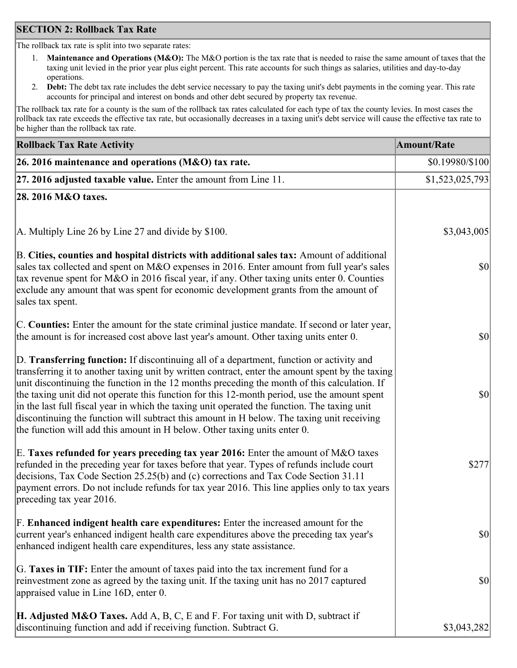### **SECTION 2: Rollback Tax Rate**

The rollback tax rate is split into two separate rates:

- 1. **Maintenance and Operations (M&O):** The M&O portion is the tax rate that is needed to raise the same amount of taxes that the taxing unit levied in the prior year plus eight percent. This rate accounts for such things as salaries, utilities and day-to-day operations.
- 2. **Debt:** The debt tax rate includes the debt service necessary to pay the taxing unit's debt payments in the coming year. This rate accounts for principal and interest on bonds and other debt secured by property tax revenue.

The rollback tax rate for a county is the sum of the rollback tax rates calculated for each type of tax the county levies. In most cases the rollback tax rate exceeds the effective tax rate, but occasionally decreases in a taxing unit's debt service will cause the effective tax rate to be higher than the rollback tax rate.

| <b>Rollback Tax Rate Activity</b>                                                                                                                                                                                                                                                                                                                                                                                                                                                                                                                                                                                                                                       | <b>Amount/Rate</b> |
|-------------------------------------------------------------------------------------------------------------------------------------------------------------------------------------------------------------------------------------------------------------------------------------------------------------------------------------------------------------------------------------------------------------------------------------------------------------------------------------------------------------------------------------------------------------------------------------------------------------------------------------------------------------------------|--------------------|
| 26. 2016 maintenance and operations (M&O) tax rate.                                                                                                                                                                                                                                                                                                                                                                                                                                                                                                                                                                                                                     | \$0.19980/\$100    |
| $ 27.2016$ adjusted taxable value. Enter the amount from Line 11.                                                                                                                                                                                                                                                                                                                                                                                                                                                                                                                                                                                                       | \$1,523,025,793    |
| 28. 2016 M&O taxes.                                                                                                                                                                                                                                                                                                                                                                                                                                                                                                                                                                                                                                                     |                    |
|                                                                                                                                                                                                                                                                                                                                                                                                                                                                                                                                                                                                                                                                         |                    |
| A. Multiply Line 26 by Line 27 and divide by \$100.                                                                                                                                                                                                                                                                                                                                                                                                                                                                                                                                                                                                                     | \$3,043,005        |
| B. Cities, counties and hospital districts with additional sales tax: Amount of additional<br>sales tax collected and spent on M&O expenses in 2016. Enter amount from full year's sales<br>tax revenue spent for M&O in 2016 fiscal year, if any. Other taxing units enter 0. Counties<br>exclude any amount that was spent for economic development grants from the amount of<br>sales tax spent.                                                                                                                                                                                                                                                                     | 30                 |
| C. Counties: Enter the amount for the state criminal justice mandate. If second or later year,<br>the amount is for increased cost above last year's amount. Other taxing units enter 0.                                                                                                                                                                                                                                                                                                                                                                                                                                                                                | 30                 |
| D. Transferring function: If discontinuing all of a department, function or activity and<br>transferring it to another taxing unit by written contract, enter the amount spent by the taxing<br>unit discontinuing the function in the 12 months preceding the month of this calculation. If<br>the taxing unit did not operate this function for this 12-month period, use the amount spent<br>in the last full fiscal year in which the taxing unit operated the function. The taxing unit<br>discontinuing the function will subtract this amount in H below. The taxing unit receiving<br>the function will add this amount in H below. Other taxing units enter 0. | \$0                |
| E. Taxes refunded for years preceding tax year 2016: Enter the amount of M&O taxes<br>refunded in the preceding year for taxes before that year. Types of refunds include court<br>decisions, Tax Code Section 25.25(b) and (c) corrections and Tax Code Section 31.11<br>payment errors. Do not include refunds for tax year 2016. This line applies only to tax years<br>preceding tax year 2016.                                                                                                                                                                                                                                                                     | \$277              |
| F. Enhanced indigent health care expenditures: Enter the increased amount for the<br>current year's enhanced indigent health care expenditures above the preceding tax year's<br>enhanced indigent health care expenditures, less any state assistance.                                                                                                                                                                                                                                                                                                                                                                                                                 | $ 10\rangle$       |
| G. Taxes in TIF: Enter the amount of taxes paid into the tax increment fund for a<br>reinvestment zone as agreed by the taxing unit. If the taxing unit has no 2017 captured<br>appraised value in Line 16D, enter 0.                                                                                                                                                                                                                                                                                                                                                                                                                                                   | \$0                |
| <b>H. Adjusted M&amp;O Taxes.</b> Add A, B, C, E and F. For taxing unit with D, subtract if<br>discontinuing function and add if receiving function. Subtract G.                                                                                                                                                                                                                                                                                                                                                                                                                                                                                                        | \$3,043,282        |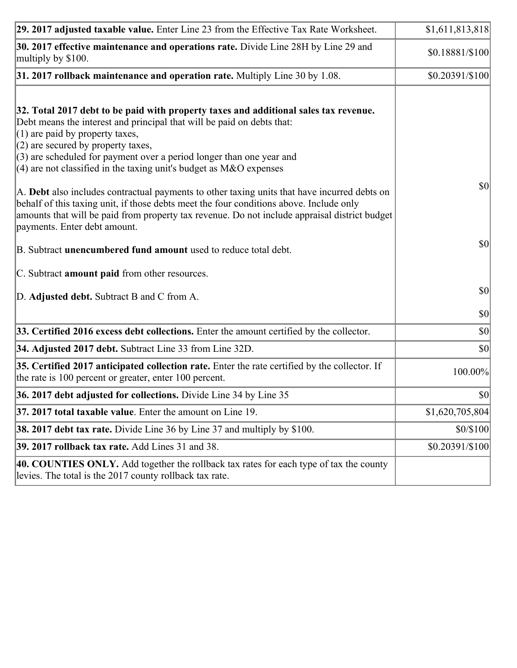| 29. 2017 adjusted taxable value. Enter Line 23 from the Effective Tax Rate Worksheet.                                                                                                                                                                                                                                                                                                                                                                                                                                                                                                                                                                                                                                     | \$1,611,813,818  |
|---------------------------------------------------------------------------------------------------------------------------------------------------------------------------------------------------------------------------------------------------------------------------------------------------------------------------------------------------------------------------------------------------------------------------------------------------------------------------------------------------------------------------------------------------------------------------------------------------------------------------------------------------------------------------------------------------------------------------|------------------|
| 30. 2017 effective maintenance and operations rate. Divide Line 28H by Line 29 and<br>multiply by \$100.                                                                                                                                                                                                                                                                                                                                                                                                                                                                                                                                                                                                                  | \$0.18881/\$100  |
| $31.2017$ rollback maintenance and operation rate. Multiply Line 30 by 1.08.                                                                                                                                                                                                                                                                                                                                                                                                                                                                                                                                                                                                                                              | $$0.20391/\$100$ |
| 32. Total 2017 debt to be paid with property taxes and additional sales tax revenue.<br>Debt means the interest and principal that will be paid on debts that:<br>$(1)$ are paid by property taxes,<br>$(2)$ are secured by property taxes,<br>$(3)$ are scheduled for payment over a period longer than one year and<br>(4) are not classified in the taxing unit's budget as $M&O$ expenses<br>A. Debt also includes contractual payments to other taxing units that have incurred debts on<br>behalf of this taxing unit, if those debts meet the four conditions above. Include only<br>amounts that will be paid from property tax revenue. Do not include appraisal district budget<br>payments. Enter debt amount. | 30               |
| B. Subtract unencumbered fund amount used to reduce total debt.                                                                                                                                                                                                                                                                                                                                                                                                                                                                                                                                                                                                                                                           | \$0              |
| C. Subtract amount paid from other resources.                                                                                                                                                                                                                                                                                                                                                                                                                                                                                                                                                                                                                                                                             |                  |
| D. Adjusted debt. Subtract B and C from A.                                                                                                                                                                                                                                                                                                                                                                                                                                                                                                                                                                                                                                                                                | $ 10\rangle$     |
|                                                                                                                                                                                                                                                                                                                                                                                                                                                                                                                                                                                                                                                                                                                           | $ 10\rangle$     |
| 33. Certified 2016 excess debt collections. Enter the amount certified by the collector.                                                                                                                                                                                                                                                                                                                                                                                                                                                                                                                                                                                                                                  | $ 10\rangle$     |
| 34. Adjusted 2017 debt. Subtract Line 33 from Line 32D.                                                                                                                                                                                                                                                                                                                                                                                                                                                                                                                                                                                                                                                                   | \$0              |
| 35. Certified 2017 anticipated collection rate. Enter the rate certified by the collector. If<br>the rate is 100 percent or greater, enter 100 percent.                                                                                                                                                                                                                                                                                                                                                                                                                                                                                                                                                                   | 100.00%          |
| 36. 2017 debt adjusted for collections. Divide Line 34 by Line 35                                                                                                                                                                                                                                                                                                                                                                                                                                                                                                                                                                                                                                                         | \$0              |
| 37. 2017 total taxable value. Enter the amount on Line 19.                                                                                                                                                                                                                                                                                                                                                                                                                                                                                                                                                                                                                                                                | \$1,620,705,804  |
| <b>38. 2017 debt tax rate.</b> Divide Line 36 by Line 37 and multiply by \$100.                                                                                                                                                                                                                                                                                                                                                                                                                                                                                                                                                                                                                                           | \$0/\$100        |
| 39. 2017 rollback tax rate. Add Lines 31 and 38.                                                                                                                                                                                                                                                                                                                                                                                                                                                                                                                                                                                                                                                                          | \$0.20391/\$100  |
| 40. COUNTIES ONLY. Add together the rollback tax rates for each type of tax the county<br>levies. The total is the 2017 county rollback tax rate.                                                                                                                                                                                                                                                                                                                                                                                                                                                                                                                                                                         |                  |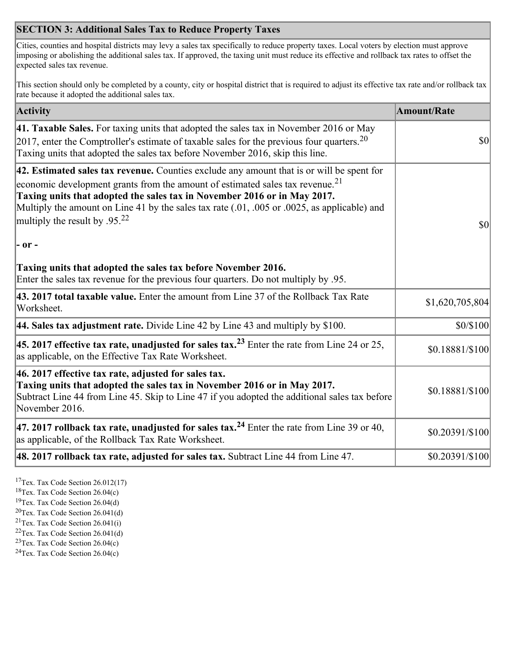## **SECTION 3: Additional Sales Tax to Reduce Property Taxes**

Cities, counties and hospital districts may levy a sales tax specifically to reduce property taxes. Local voters by election must approve imposing or abolishing the additional sales tax. If approved, the taxing unit must reduce its effective and rollback tax rates to offset the expected sales tax revenue.

This section should only be completed by a county, city or hospital district that is required to adjust its effective tax rate and/or rollback tax rate because it adopted the additional sales tax.

| <b>Activity</b>                                                                                                                                                                                                                                                                                                                                                                                                 | <b>Amount/Rate</b> |
|-----------------------------------------------------------------------------------------------------------------------------------------------------------------------------------------------------------------------------------------------------------------------------------------------------------------------------------------------------------------------------------------------------------------|--------------------|
| 41. Taxable Sales. For taxing units that adopted the sales tax in November 2016 or May<br>[2017, enter the Comptroller's estimate of taxable sales for the previous four quarters. <sup>20</sup><br>Taxing units that adopted the sales tax before November 2016, skip this line.                                                                                                                               | <b>\$0</b>         |
| 42. Estimated sales tax revenue. Counties exclude any amount that is or will be spent for<br>economic development grants from the amount of estimated sales tax revenue. <sup>21</sup><br>Taxing units that adopted the sales tax in November 2016 or in May 2017.<br>Multiply the amount on Line 41 by the sales tax rate (.01, .005 or .0025, as applicable) and<br>multiply the result by .95. <sup>22</sup> | \$0                |
| $ -$ or $-$                                                                                                                                                                                                                                                                                                                                                                                                     |                    |
| Taxing units that adopted the sales tax before November 2016.<br>Enter the sales tax revenue for the previous four quarters. Do not multiply by .95.                                                                                                                                                                                                                                                            |                    |
| 43. 2017 total taxable value. Enter the amount from Line 37 of the Rollback Tax Rate<br>Worksheet.                                                                                                                                                                                                                                                                                                              | \$1,620,705,804    |
| 44. Sales tax adjustment rate. Divide Line 42 by Line 43 and multiply by \$100.                                                                                                                                                                                                                                                                                                                                 | \$0/\$100          |
| 45. 2017 effective tax rate, unadjusted for sales tax. <sup>23</sup> Enter the rate from Line 24 or 25,<br>as applicable, on the Effective Tax Rate Worksheet.                                                                                                                                                                                                                                                  | \$0.18881/\$100    |
| 46. 2017 effective tax rate, adjusted for sales tax.<br>Taxing units that adopted the sales tax in November 2016 or in May 2017.<br>Subtract Line 44 from Line 45. Skip to Line 47 if you adopted the additional sales tax before<br>November 2016.                                                                                                                                                             | \$0.18881/\$100    |
| 47. 2017 rollback tax rate, unadjusted for sales tax. <sup>24</sup> Enter the rate from Line 39 or 40,<br>as applicable, of the Rollback Tax Rate Worksheet.                                                                                                                                                                                                                                                    | \$0.20391/\$100    |
| [48. 2017 rollback tax rate, adjusted for sales tax. Subtract Line 44 from Line 47.                                                                                                                                                                                                                                                                                                                             | $$0.20391/\$100$   |

<sup>17</sup>Tex. Tax Code Section 26.012(17)

<sup>18</sup>Tex. Tax Code Section 26.04(c)

<sup>19</sup>Tex. Tax Code Section 26.04(d)

<sup>20</sup>Tex. Tax Code Section 26.041(d)

- $21$ Tex. Tax Code Section 26.041(i)
- $22$ Tex. Tax Code Section 26.041(d)
- <sup>23</sup>Tex. Tax Code Section  $26.04(c)$

<sup>24</sup>Tex. Tax Code Section  $26.04(c)$